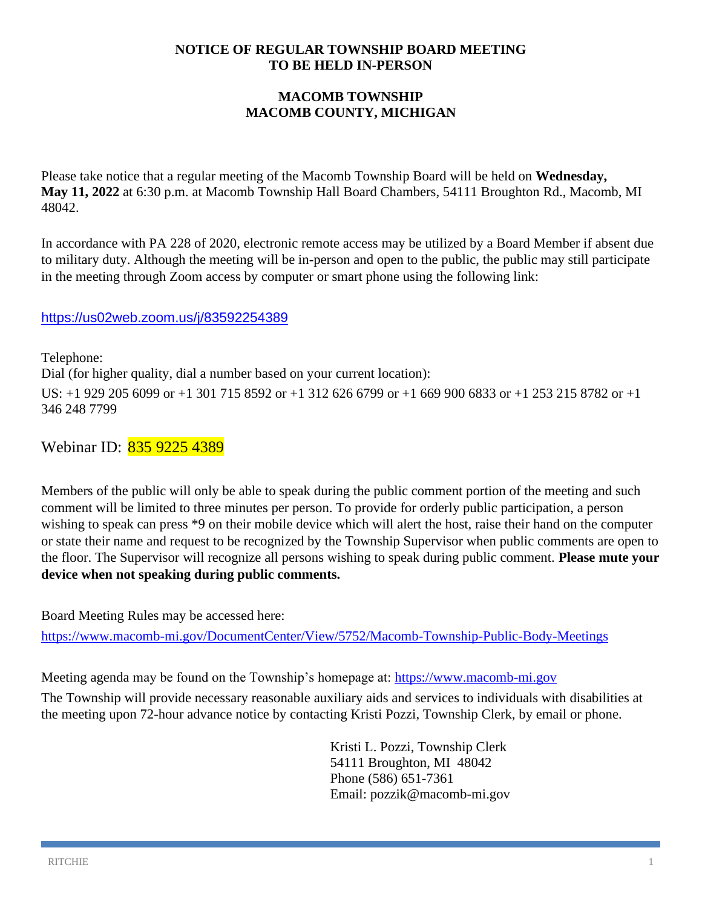#### **NOTICE OF REGULAR TOWNSHIP BOARD MEETING TO BE HELD IN-PERSON**

## **MACOMB TOWNSHIP MACOMB COUNTY, MICHIGAN**

Please take notice that a regular meeting of the Macomb Township Board will be held on **Wednesday, May 11, 2022** at 6:30 p.m. at Macomb Township Hall Board Chambers, 54111 Broughton Rd., Macomb, MI 48042.

In accordance with PA 228 of 2020, electronic remote access may be utilized by a Board Member if absent due to military duty. Although the meeting will be in-person and open to the public, the public may still participate in the meeting through Zoom access by computer or smart phone using the following link:

## <https://us02web.zoom.us/j/83592254389>

Telephone: Dial (for higher quality, dial a number based on your current location): US: +1 929 205 6099 or +1 301 715 8592 or +1 312 626 6799 or +1 669 900 6833 or +1 253 215 8782 or +1 346 248 7799

Webinar ID: 835 9225 4389

Members of the public will only be able to speak during the public comment portion of the meeting and such comment will be limited to three minutes per person. To provide for orderly public participation, a person wishing to speak can press \*9 on their mobile device which will alert the host, raise their hand on the computer or state their name and request to be recognized by the Township Supervisor when public comments are open to the floor. The Supervisor will recognize all persons wishing to speak during public comment. **Please mute your device when not speaking during public comments.**

Board Meeting Rules may be accessed here:

<https://www.macomb-mi.gov/DocumentCenter/View/5752/Macomb-Township-Public-Body-Meetings>

Meeting agenda may be found on the Township's homepage at: [https://www.macomb-mi.gov](https://www.macomb-mi.gov/)

The Township will provide necessary reasonable auxiliary aids and services to individuals with disabilities at the meeting upon 72-hour advance notice by contacting Kristi Pozzi, Township Clerk, by email or phone.

> Kristi L. Pozzi, Township Clerk 54111 Broughton, MI 48042 Phone (586) 651-7361 Email: pozzik@macomb-mi.gov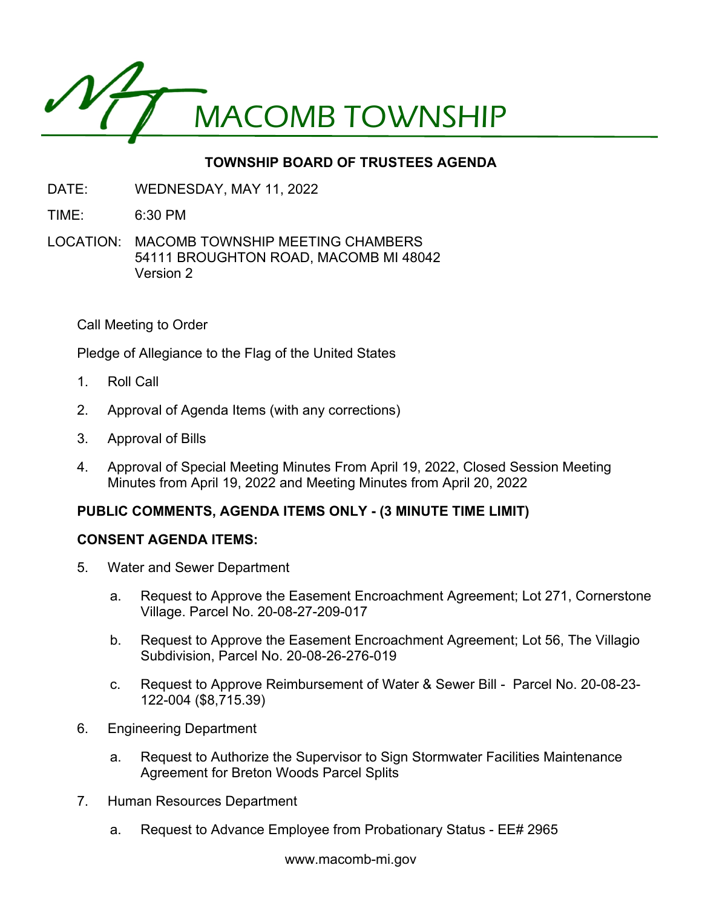

# **TOWNSHIP BOARD OF TRUSTEES AGENDA**

- DATE: WEDNESDAY, MAY 11, 2022
- TIME: 6:30 PM
- LOCATION: MACOMB TOWNSHIP MEETING CHAMBERS 54111 BROUGHTON ROAD, MACOMB MI 48042 Version 2

Call Meeting to Order

Pledge of Allegiance to the Flag of the United States

- 1. Roll Call
- 2. Approval of Agenda Items (with any corrections)
- 3. Approval of Bills
- 4. Approval of Special Meeting Minutes From April 19, 2022, Closed Session Meeting Minutes from April 19, 2022 and Meeting Minutes from April 20, 2022

## **PUBLIC COMMENTS, AGENDA ITEMS ONLY - (3 MINUTE TIME LIMIT)**

## **CONSENT AGENDA ITEMS:**

- 5. Water and Sewer Department
	- a. Request to Approve the Easement Encroachment Agreement; Lot 271, Cornerstone Village. Parcel No. 20-08-27-209-017
	- b. Request to Approve the Easement Encroachment Agreement; Lot 56, The Villagio Subdivision, Parcel No. 20-08-26-276-019
	- c. Request to Approve Reimbursement of Water & Sewer Bill Parcel No. 20-08-23- 122-004 (\$8,715.39)
- 6. Engineering Department
	- a. Request to Authorize the Supervisor to Sign Stormwater Facilities Maintenance Agreement for Breton Woods Parcel Splits
- 7. Human Resources Department
	- a. Request to Advance Employee from Probationary Status EE# 2965

www.macomb-mi.gov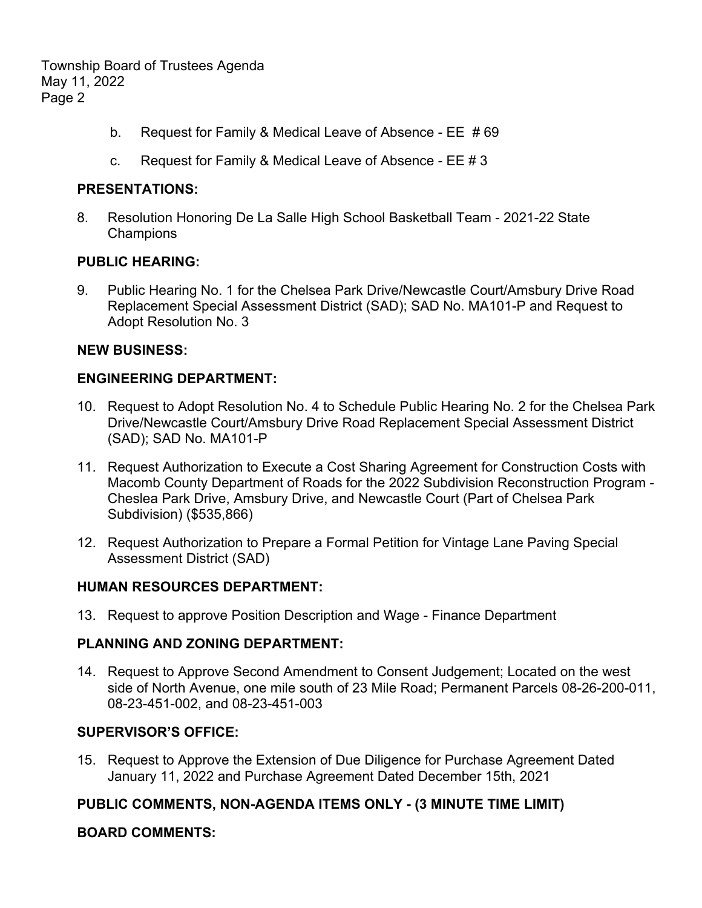Township Board of Trustees Agenda May 11, 2022 Page 2

- b. Request for Family & Medical Leave of Absence EE # 69
- c. Request for Family & Medical Leave of Absence EE # 3

#### **PRESENTATIONS:**

8. Resolution Honoring De La Salle High School Basketball Team - 2021-22 State **Champions** 

#### **PUBLIC HEARING:**

9. Public Hearing No. 1 for the Chelsea Park Drive/Newcastle Court/Amsbury Drive Road Replacement Special Assessment District (SAD); SAD No. MA101-P and Request to Adopt Resolution No. 3

#### **NEW BUSINESS:**

### **ENGINEERING DEPARTMENT:**

- 10. Request to Adopt Resolution No. 4 to Schedule Public Hearing No. 2 for the Chelsea Park Drive/Newcastle Court/Amsbury Drive Road Replacement Special Assessment District (SAD); SAD No. MA101-P
- 11. Request Authorization to Execute a Cost Sharing Agreement for Construction Costs with Macomb County Department of Roads for the 2022 Subdivision Reconstruction Program - Cheslea Park Drive, Amsbury Drive, and Newcastle Court (Part of Chelsea Park Subdivision) (\$535,866)
- 12. Request Authorization to Prepare a Formal Petition for Vintage Lane Paving Special Assessment District (SAD)

## **HUMAN RESOURCES DEPARTMENT:**

13. Request to approve Position Description and Wage - Finance Department

## **PLANNING AND ZONING DEPARTMENT:**

14. Request to Approve Second Amendment to Consent Judgement; Located on the west side of North Avenue, one mile south of 23 Mile Road; Permanent Parcels 08-26-200-011, 08-23-451-002, and 08-23-451-003

## **SUPERVISOR'S OFFICE:**

15. Request to Approve the Extension of Due Diligence for Purchase Agreement Dated January 11, 2022 and Purchase Agreement Dated December 15th, 2021

## **PUBLIC COMMENTS, NON-AGENDA ITEMS ONLY - (3 MINUTE TIME LIMIT)**

## **BOARD COMMENTS:**